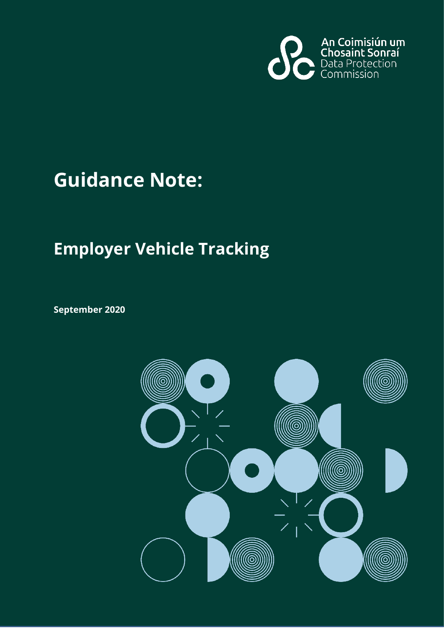

# **Guidance Note:**

## **Employer Vehicle Tracking**

**September 2020**

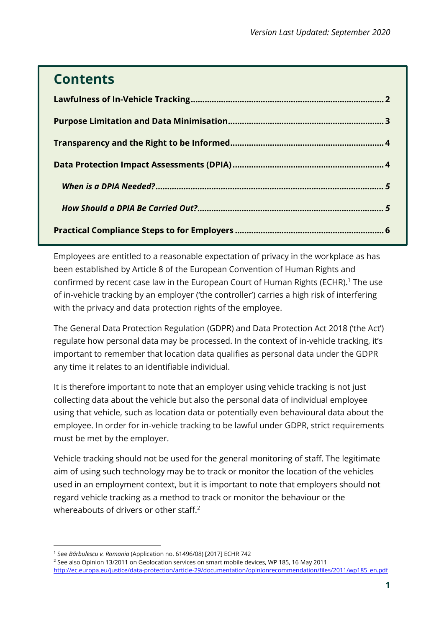## **Contents**

Employees are entitled to a reasonable expectation of privacy in the workplace as has been established by Article 8 of the European Convention of Human Rights and confirmed by recent case law in the European Court of Human Rights (ECHR).<sup>1</sup> The use of in-vehicle tracking by an employer ('the controller') carries a high risk of interfering with the privacy and data protection rights of the employee.

The General Data Protection Regulation (GDPR) and Data Protection Act 2018 ('the Act') regulate how personal data may be processed. In the context of in-vehicle tracking, it's important to remember that location data qualifies as personal data under the GDPR any time it relates to an identifiable individual.

It is therefore important to note that an employer using vehicle tracking is not just collecting data about the vehicle but also the personal data of individual employee using that vehicle, such as location data or potentially even behavioural data about the employee. In order for in-vehicle tracking to be lawful under GDPR, strict requirements must be met by the employer.

Vehicle tracking should not be used for the general monitoring of staff. The legitimate aim of using such technology may be to track or monitor the location of the vehicles used in an employment context, but it is important to note that employers should not regard vehicle tracking as a method to track or monitor the behaviour or the whereabouts of drivers or other staff.<sup>2</sup>

<span id="page-1-0"></span><sup>1</sup> See *Bărbulescu v. Romania* (Application no. 61496/08) [2017] ECHR 742

<sup>2</sup> See also Opinion 13/2011 on Geolocation services on smart mobile devices, WP 185, 16 May 2011

[http://ec.europa.eu/justice/data-protection/article-29/documentation/opinionrecommendation/files/2011/wp185\\_en.pdf](http://ec.europa.eu/justice/data-protection/article-29/documentation/opinionrecommendation/files/2011/wp185_en.pdf)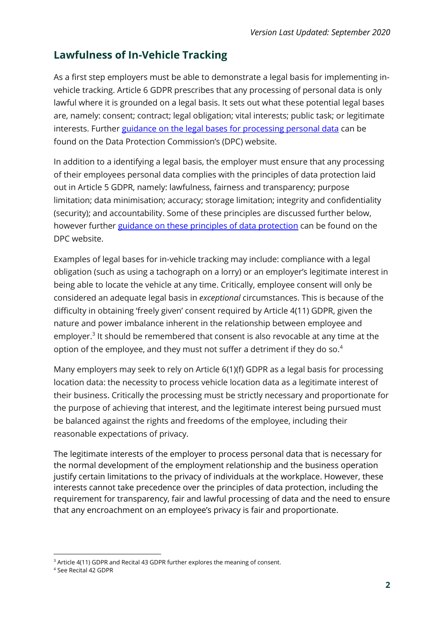## **Lawfulness of In-Vehicle Tracking**

As a first step employers must be able to demonstrate a legal basis for implementing invehicle tracking. Article 6 GDPR prescribes that any processing of personal data is only lawful where it is grounded on a legal basis. It sets out what these potential legal bases are, namely: consent; contract; legal obligation; vital interests; public task; or legitimate interests. Further [guidance on the legal bases for processing personal data](https://www.dataprotection.ie/en/guidance-landing/guidance-legal-bases-processing-personal-data) can be found on the Data Protection Commission's (DPC) website.

In addition to a identifying a legal basis, the employer must ensure that any processing of their employees personal data complies with the principles of data protection laid out in Article 5 GDPR, namely: lawfulness, fairness and transparency; purpose limitation; data minimisation; accuracy; storage limitation; integrity and confidentiality (security); and accountability. Some of these principles are discussed further below, however further [guidance on these principles of data protection](https://www.dataprotection.ie/en/guidance-landing/guidance-principles-data-protection) can be found on the DPC website.

Examples of legal bases for in-vehicle tracking may include: compliance with a legal obligation (such as using a tachograph on a lorry) or an employer's legitimate interest in being able to locate the vehicle at any time. Critically, employee consent will only be considered an adequate legal basis in *exceptional* circumstances. This is because of the difficulty in obtaining 'freely given' consent required by Article 4(11) GDPR, given the nature and power imbalance inherent in the relationship between employee and employer.<sup>3</sup> It should be remembered that consent is also revocable at any time at the option of the employee, and they must not suffer a detriment if they do so.<sup>4</sup>

Many employers may seek to rely on Article 6(1)(f) GDPR as a legal basis for processing location data: the necessity to process vehicle location data as a legitimate interest of their business. Critically the processing must be strictly necessary and proportionate for the purpose of achieving that interest, and the legitimate interest being pursued must be balanced against the rights and freedoms of the employee, including their reasonable expectations of privacy.

The legitimate interests of the employer to process personal data that is necessary for the normal development of the employment relationship and the business operation justify certain limitations to the privacy of individuals at the workplace. However, these interests cannot take precedence over the principles of data protection, including the requirement for transparency, fair and lawful processing of data and the need to ensure that any encroachment on an employee's privacy is fair and proportionate.

<sup>&</sup>lt;sup>3</sup> Article 4(11) GDPR and Recital 43 GDPR further explores the meaning of consent.

<sup>4</sup> See Recital 42 GDPR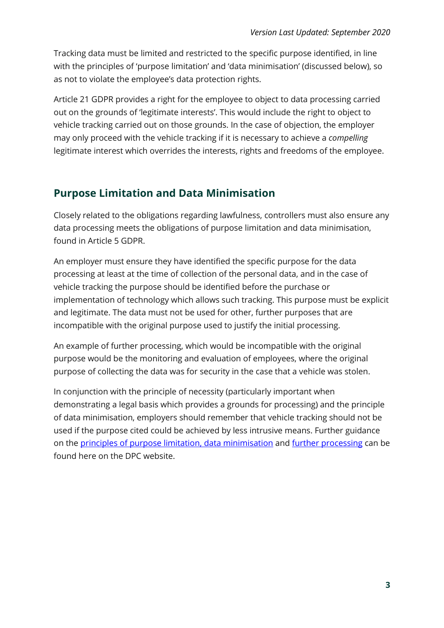Tracking data must be limited and restricted to the specific purpose identified, in line with the principles of 'purpose limitation' and 'data minimisation' (discussed below), so as not to violate the employee's data protection rights.

Article 21 GDPR provides a right for the employee to object to data processing carried out on the grounds of 'legitimate interests'. This would include the right to object to vehicle tracking carried out on those grounds. In the case of objection, the employer may only proceed with the vehicle tracking if it is necessary to achieve a *compelling* legitimate interest which overrides the interests, rights and freedoms of the employee.

## <span id="page-3-0"></span>**Purpose Limitation and Data Minimisation**

Closely related to the obligations regarding lawfulness, controllers must also ensure any data processing meets the obligations of purpose limitation and data minimisation, found in Article 5 GDPR.

An employer must ensure they have identified the specific purpose for the data processing at least at the time of collection of the personal data, and in the case of vehicle tracking the purpose should be identified before the purchase or implementation of technology which allows such tracking. This purpose must be explicit and legitimate. The data must not be used for other, further purposes that are incompatible with the original purpose used to justify the initial processing.

An example of further processing, which would be incompatible with the original purpose would be the monitoring and evaluation of employees, where the original purpose of collecting the data was for security in the case that a vehicle was stolen.

In conjunction with the principle of necessity (particularly important when demonstrating a legal basis which provides a grounds for processing) and the principle of data minimisation, employers should remember that vehicle tracking should not be used if the purpose cited could be achieved by less intrusive means. Further guidance on the [principles of purpose limitation, data minimisation](https://www.dataprotection.ie/en/guidance-landing/guidance-principles-data-protection) and [further processing](https://www.dataprotection.ie/en/guidance-landing/guidance-legal-bases-processing-personal-data) can be found here on the DPC website.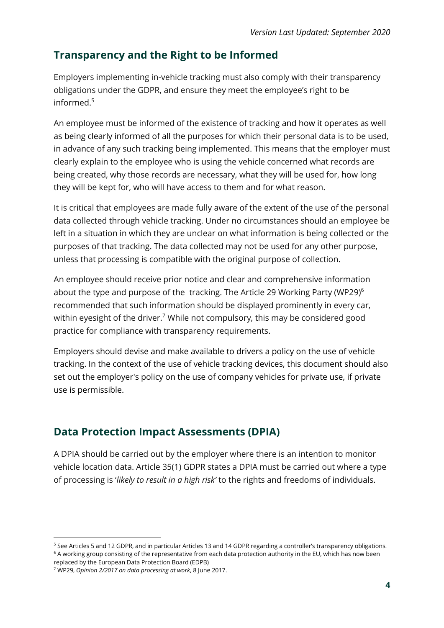## <span id="page-4-0"></span>**Transparency and the Right to be Informed**

Employers implementing in-vehicle tracking must also comply with their transparency obligations under the GDPR, and ensure they meet the employee's right to be informed.<sup>5</sup>

An employee must be informed of the existence of tracking and how it operates as well as being clearly informed of all the purposes for which their personal data is to be used, in advance of any such tracking being implemented. This means that the employer must clearly explain to the employee who is using the vehicle concerned what records are being created, why those records are necessary, what they will be used for, how long they will be kept for, who will have access to them and for what reason.

It is critical that employees are made fully aware of the extent of the use of the personal data collected through vehicle tracking. Under no circumstances should an employee be left in a situation in which they are unclear on what information is being collected or the purposes of that tracking. The data collected may not be used for any other purpose, unless that processing is compatible with the original purpose of collection.

An employee should receive prior notice and clear and comprehensive information about the type and purpose of the tracking. The Article 29 Working Party (WP29)<sup>6</sup> recommended that such information should be displayed prominently in every car, within eyesight of the driver.<sup>7</sup> While not compulsory, this may be considered good practice for compliance with transparency requirements.

Employers should devise and make available to drivers a policy on the use of vehicle tracking. In the context of the use of vehicle tracking devices, this document should also set out the employer's policy on the use of company vehicles for private use, if private use is permissible.

## <span id="page-4-1"></span>**Data Protection Impact Assessments (DPIA)**

A DPIA should be carried out by the employer where there is an intention to monitor vehicle location data. Article 35(1) GDPR states a DPIA must be carried out where a type of processing is '*likely to result in a high risk'* to the rights and freedoms of individuals.

<sup>5</sup> See Articles 5 and 12 GDPR, and in particular Articles 13 and 14 GDPR regarding a controller's transparency obligations. <sup>6</sup> A working group consisting of the representative from each data protection authority in the EU, which has now been

replaced by the European Data Protection Board (EDPB)

<sup>7</sup> WP29, *Opinion 2/2017 on data processing at work*, 8 June 2017.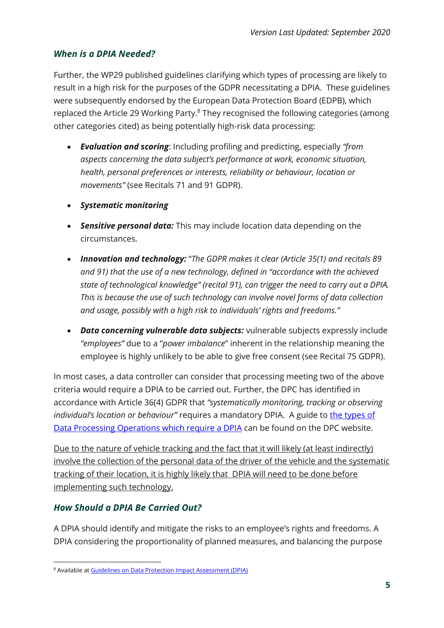#### <span id="page-5-0"></span>*When is a DPIA Needed?*

Further, the WP29 published guidelines clarifying which types of processing are likely to result in a high risk for the purposes of the GDPR necessitating a DPIA. These guidelines were subsequently endorsed by the European Data Protection Board (EDPB), which replaced the Article 29 Working Party.<sup>8</sup> They recognised the following categories (among other categories cited) as being potentially high-risk data processing:

- *Evaluation and scoring*: Including profiling and predicting, especially *"from aspects concerning the data subject's performance at work, economic situation, health, personal preferences or interests, reliability or behaviour, location or movements"* (see Recitals 71 and 91 GDPR).
- *Systematic monitoring*
- *Sensitive personal data:* This may include location data depending on the circumstances.
- *Innovation and technology:* "*The GDPR makes it clear (Article 35(1) and recitals 89 and 91) that the use of a new technology, defined in "accordance with the achieved state of technological knowledge" (recital 91), can trigger the need to carry out a DPIA. This is because the use of such technology can involve novel forms of data collection and usage, possibly with a high risk to individuals' rights and freedoms."*
- *Data concerning vulnerable data subjects:* vulnerable subjects expressly include *"employees"* due to a "*power imbalance*" inherent in the relationship meaning the employee is highly unlikely to be able to give free consent (see Recital 75 GDPR).

In most cases, a data controller can consider that processing meeting two of the above criteria would require a DPIA to be carried out. Further, the DPC has identified in accordance with Article 36(4) GDPR that *"systematically monitoring, tracking or observing individual's location or behaviour"* requires a mandatory DPIA. A guide to the types of [Data Processing Operations which require a DPIA](https://www.dataprotection.ie/en/guidance-landing/data-processing-operations-require-data-protection-impact-assessment) can be found on the DPC website.

Due to the nature of vehicle tracking and the fact that it will likely (at least indirectly) involve the collection of the personal data of the driver of the vehicle and the systematic tracking of their location, it is highly likely that DPIA will need to be done before implementing such technology.

#### <span id="page-5-1"></span>*How Should a DPIA Be Carried Out?*

 $\overline{a}$ 

A DPIA should identify and mitigate the risks to an employee's rights and freedoms. A DPIA considering the proportionality of planned measures, and balancing the purpose

<sup>8</sup> Available at [Guidelines on Data Protection Impact Assessment \(DPIA\)](http://ec.europa.eu/newsroom/article29/item-detail.cfm?item_id=611236)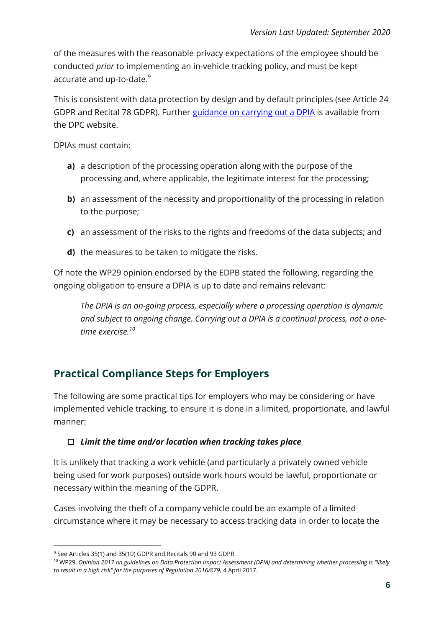of the measures with the reasonable privacy expectations of the employee should be conducted *prior* to implementing an in-vehicle tracking policy, and must be kept accurate and up-to-date. $9$ 

This is consistent with data protection by design and by default principles (see Article 24 GDPR and Recital 78 GDPR). Further [guidance on carrying out a DPIA](https://www.dataprotection.ie/en/guidance-landing/guide-data-protection-impact-assessments) is available from the DPC website.

DPIAs must contain:

- **a)** a description of the processing operation along with the purpose of the processing and, where applicable, the legitimate interest for the processing;
- **b**) an assessment of the necessity and proportionality of the processing in relation to the purpose;
- **c)** an assessment of the risks to the rights and freedoms of the data subjects; and
- **d)** the measures to be taken to mitigate the risks.

Of note the WP29 opinion endorsed by the EDPB stated the following, regarding the ongoing obligation to ensure a DPIA is up to date and remains relevant:

*The DPIA is an on-going process, especially where a processing operation is dynamic and subject to ongoing change. Carrying out a DPIA is a continual process, not a onetime exercise.<sup>10</sup>*

### <span id="page-6-0"></span>**Practical Compliance Steps for Employers**

The following are some practical tips for employers who may be considering or have implemented vehicle tracking, to ensure it is done in a limited, proportionate, and lawful manner:

#### *Limit the time and/or location when tracking takes place*

It is unlikely that tracking a work vehicle (and particularly a privately owned vehicle being used for work purposes) outside work hours would be lawful, proportionate or necessary within the meaning of the GDPR.

Cases involving the theft of a company vehicle could be an example of a limited circumstance where it may be necessary to access tracking data in order to locate the

<sup>9</sup> See Articles 35(1) and 35(10) GDPR and Recitals 90 and 93 GDPR.

<sup>10</sup> WP29, *Opinion 2017 on guidelines on Data Protection Impact Assessment (DPIA) and determining whether processing is "likely*  to result in a high risk" for the purposes of Regulation 2016/679, 4 April 2017.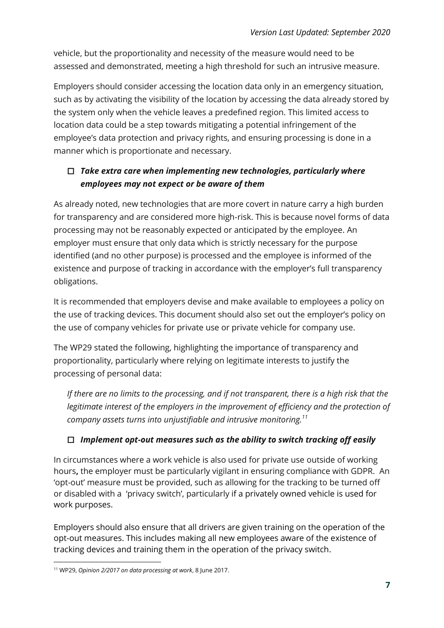vehicle, but the proportionality and necessity of the measure would need to be assessed and demonstrated, meeting a high threshold for such an intrusive measure.

Employers should consider accessing the location data only in an emergency situation, such as by activating the visibility of the location by accessing the data already stored by the system only when the vehicle leaves a predefined region. This limited access to location data could be a step towards mitigating a potential infringement of the employee's data protection and privacy rights, and ensuring processing is done in a manner which is proportionate and necessary.

#### *Take extra care when implementing new technologies, particularly where employees may not expect or be aware of them*

As already noted, new technologies that are more covert in nature carry a high burden for transparency and are considered more high-risk. This is because novel forms of data processing may not be reasonably expected or anticipated by the employee. An employer must ensure that only data which is strictly necessary for the purpose identified (and no other purpose) is processed and the employee is informed of the existence and purpose of tracking in accordance with the employer's full transparency obligations.

It is recommended that employers devise and make available to employees a policy on the use of tracking devices. This document should also set out the employer's policy on the use of company vehicles for private use or private vehicle for company use.

The WP29 stated the following, highlighting the importance of transparency and proportionality, particularly where relying on legitimate interests to justify the processing of personal data:

*If there are no limits to the processing, and if not transparent, there is a high risk that the legitimate interest of the employers in the improvement of efficiency and the protection of company assets turns into unjustifiable and intrusive monitoring.<sup>11</sup>*

#### *Implement opt-out measures such as the ability to switch tracking off easily*

In circumstances where a work vehicle is also used for private use outside of working hours**,** the employer must be particularly vigilant in ensuring compliance with GDPR. An 'opt-out' measure must be provided, such as allowing for the tracking to be turned off or disabled with a 'privacy switch', particularly if a privately owned vehicle is used for work purposes.

Employers should also ensure that all drivers are given training on the operation of the opt-out measures. This includes making all new employees aware of the existence of tracking devices and training them in the operation of the privacy switch.

<sup>11</sup> WP29, *Opinion 2/2017 on data processing at work*, 8 June 2017.